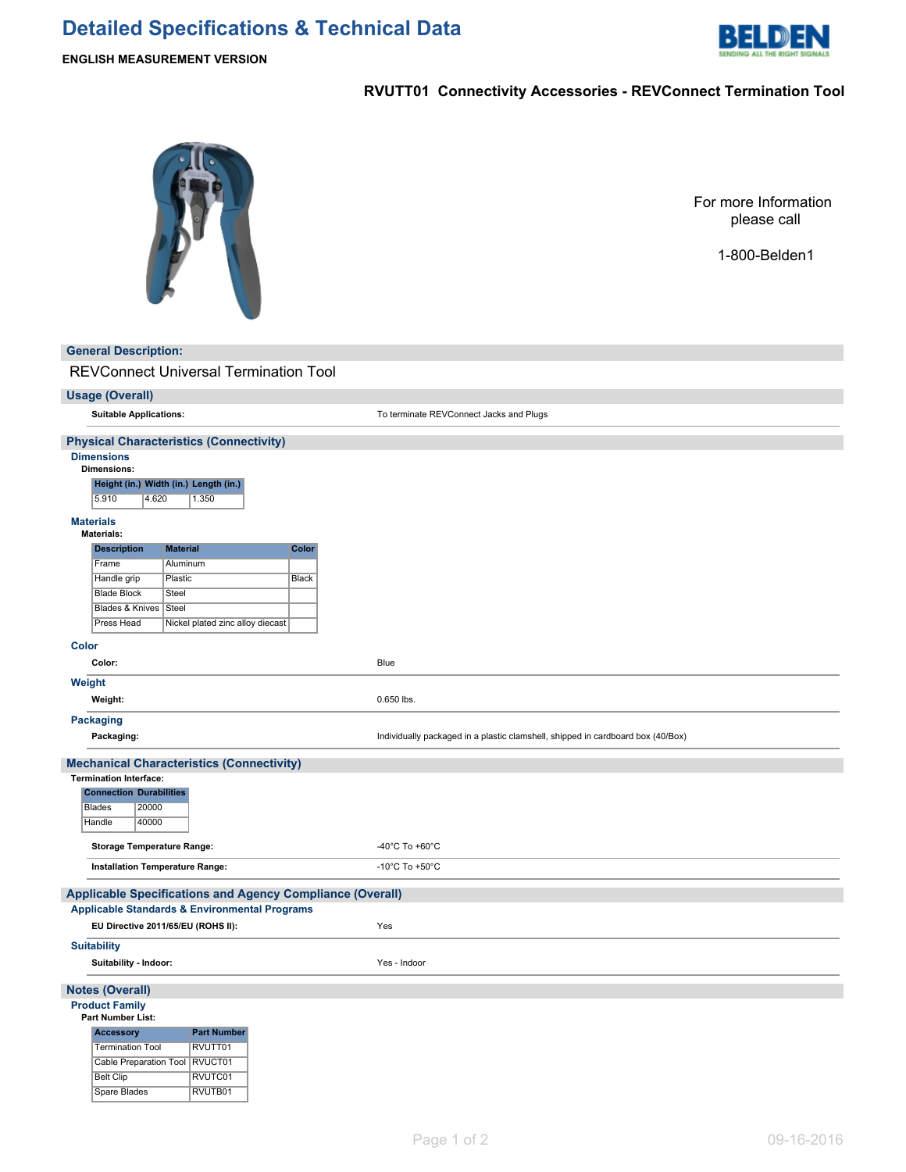# **Detailed Specifications & Technical Data**



# **RVUTT01 Connectivity Accessories - REVConnect Termination Tool**



For more Information please call

1-800-Belden1

### **General Description:**

REVConnect Universal Termination Tool

#### **Usage (Overall)**

**Suitable Applications:** To terminate REVConnect Jacks and Plugs

# **Physical Characteristics (Connectivity)**

**Dimensions**

#### **Dimensions:**

**Height (in.) Width (in.) Length (in.)**

5.910 4.620 1.350

#### **Materials Mate**

| iterials:             | <b>Material</b><br>Color         |       |  |
|-----------------------|----------------------------------|-------|--|
| <b>Description</b>    |                                  |       |  |
| Frame                 | Aluminum                         |       |  |
| Handle grip           | Plastic                          | Black |  |
| <b>Blade Block</b>    | Steel                            |       |  |
| Blades & Knives Steel |                                  |       |  |
| Press Head            | Nickel plated zinc alloy diecast |       |  |

#### **Color**

|        | Color:                                                           | Blue                                                                            |
|--------|------------------------------------------------------------------|---------------------------------------------------------------------------------|
| Weight |                                                                  |                                                                                 |
|        | Weight:                                                          | 0.650 lbs.                                                                      |
|        | <b>Packaging</b>                                                 |                                                                                 |
|        | Packaging:                                                       | Individually packaged in a plastic clamshell, shipped in cardboard box (40/Box) |
|        | <b>Mechanical Characteristics (Connectivity)</b>                 |                                                                                 |
|        | <b>Termination Interface:</b>                                    |                                                                                 |
|        | <b>Connection Durabilities</b>                                   |                                                                                 |
|        | 20000<br>Blades                                                  |                                                                                 |
|        | Handle<br>40000                                                  |                                                                                 |
|        | <b>Storage Temperature Range:</b>                                | -40 $^{\circ}$ C To +60 $^{\circ}$ C                                            |
|        | Installation Temperature Range:                                  | -10 $^{\circ}$ C To +50 $^{\circ}$ C                                            |
|        | <b>Applicable Specifications and Agency Compliance (Overall)</b> |                                                                                 |
|        | <b>Applicable Standards &amp; Environmental Programs</b>         |                                                                                 |
|        | EU Directive 2011/65/EU (ROHS II):                               | Yes                                                                             |
|        | <b>Suitability</b>                                               |                                                                                 |
|        | Suitability - Indoor:                                            | Yes - Indoor                                                                    |

### **Notes (Overall)**

# **Product Family**

| Part Number List:                | <b>Part Number</b><br>RVUTT01 |  |  |
|----------------------------------|-------------------------------|--|--|
| <b>Accessory</b>                 |                               |  |  |
| <b>Termination Tool</b>          |                               |  |  |
| Cable Preparation Tool   RVUCT01 |                               |  |  |
| <b>Belt Clip</b>                 | RVUTC01                       |  |  |

Spare Blades RVUTB01